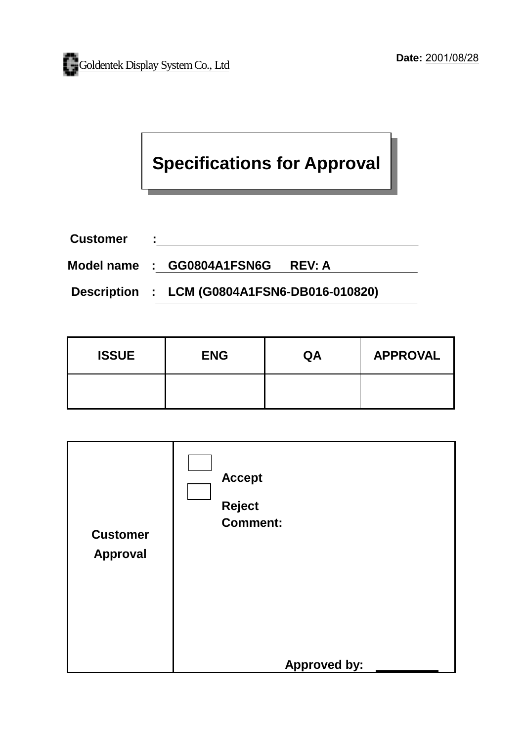# **Specifications for Approval**

**Customer :**  <u> 1980 - Johann Barn, mars ann an t-Amhain Aonaich an t-Aonaich an t-Aonaich an t-Aonaich an t-Aonaich ann an t-</u>

**Model name : GG0804A1FSN6G REV: A** 

**Description : LCM (G0804A1FSN6-DB016-010820)** 

| <b>ISSUE</b> | <b>ENG</b> | QA | <b>APPROVAL</b> |
|--------------|------------|----|-----------------|
|              |            |    |                 |

| <b>Customer</b><br><b>Approval</b> | <b>Accept</b><br><b>Reject</b><br><b>Comment:</b><br><b>Approved by:</b> |
|------------------------------------|--------------------------------------------------------------------------|
|                                    |                                                                          |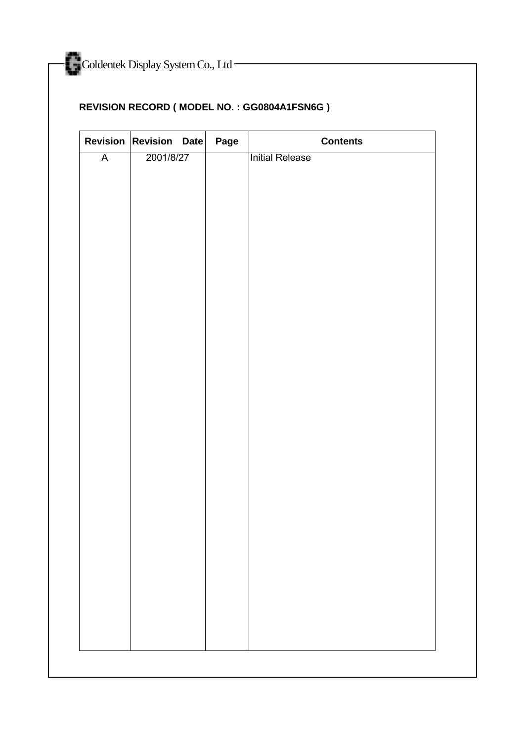# **REVISION RECORD ( MODEL NO. : GG0804A1FSN6G )**

|                         | Revision Revision Date | Page | <b>Contents</b> |
|-------------------------|------------------------|------|-----------------|
| $\overline{\mathsf{A}}$ | 2001/8/27              |      | Initial Release |
|                         |                        |      |                 |
|                         |                        |      |                 |
|                         |                        |      |                 |
|                         |                        |      |                 |
|                         |                        |      |                 |
|                         |                        |      |                 |
|                         |                        |      |                 |
|                         |                        |      |                 |
|                         |                        |      |                 |
|                         |                        |      |                 |
|                         |                        |      |                 |
|                         |                        |      |                 |
|                         |                        |      |                 |
|                         |                        |      |                 |
|                         |                        |      |                 |
|                         |                        |      |                 |
|                         |                        |      |                 |
|                         |                        |      |                 |
|                         |                        |      |                 |
|                         |                        |      |                 |
|                         |                        |      |                 |
|                         |                        |      |                 |
|                         |                        |      |                 |
|                         |                        |      |                 |
|                         |                        |      |                 |
|                         |                        |      |                 |
|                         |                        |      |                 |
|                         |                        |      |                 |
|                         |                        |      |                 |
|                         |                        |      |                 |
|                         |                        |      |                 |
|                         |                        |      |                 |
|                         |                        |      |                 |
|                         |                        |      |                 |
|                         |                        |      |                 |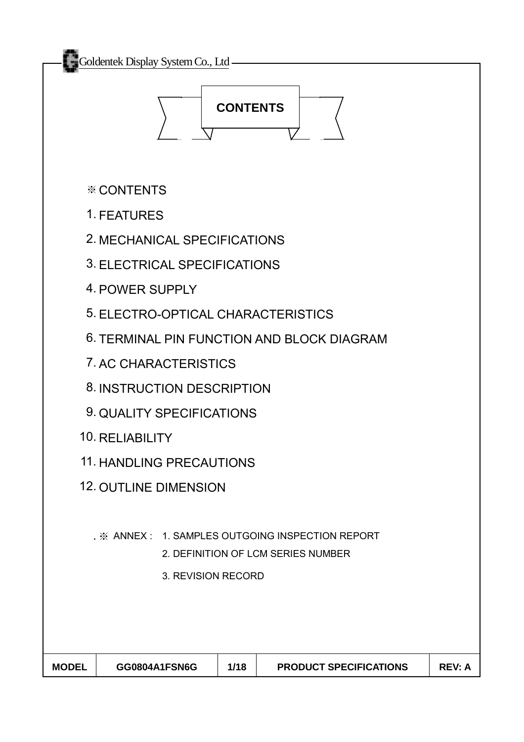

※ CONTENTS

- 1. FEATURES
- 2. MECHANICAL SPECIFICATIONS
- 3. ELECTRICAL SPECIFICATIONS
- 4. POWER SUPPLY
- 5. ELECTRO-OPTICAL CHARACTERISTICS
- 6. TERMINAL PIN FUNCTION AND BLOCK DIAGRAM
- 7. AC CHARACTERISTICS
- 8. INSTRUCTION DESCRIPTION
- 9. QUALITY SPECIFICATIONS
- 10. RELIABILITY
- 11. HANDLING PRECAUTIONS
- 12. OUTLINE DIMENSION
	- . ※ ANNEX : 1. SAMPLES OUTGOING INSPECTION REPORT
		- 2. DEFINITION OF LCM SERIES NUMBER
		- 3. REVISION RECORD

| <b>MODEL</b> | GG0804A1FSN6G | 1/18 | <b>PRODUCT SPECIFICATIONS</b> | <b>REV: A</b> |
|--------------|---------------|------|-------------------------------|---------------|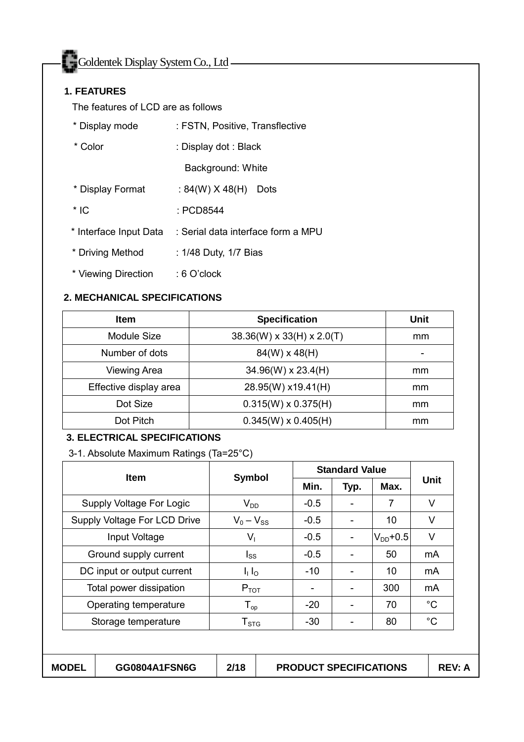Goldentek Display System Co., Ltd

#### **1. FEATURES**

The features of LCD are as follows

| * Display mode         | : FSTN, Positive, Transflective    |
|------------------------|------------------------------------|
| * Color                | : Display dot : Black              |
|                        | Background: White                  |
| * Display Format       | : 84(W) $X$ 48(H)<br>Dots          |
| $*$ IC                 | : PCD8544                          |
| * Interface Input Data | : Serial data interface form a MPU |
| * Driving Method       | : 1/48 Duty, 1/7 Bias              |
| * Viewing Direction    | $:6$ O'clock                       |

#### **2. MECHANICAL SPECIFICATIONS**

| <b>Item</b>            | <b>Specification</b>                  | Unit |
|------------------------|---------------------------------------|------|
| Module Size            | $38.36(W) \times 33(H) \times 2.0(T)$ | mm   |
| Number of dots         | $84(W) \times 48(H)$                  |      |
| <b>Viewing Area</b>    | $34.96(W) \times 23.4(H)$             | mm   |
| Effective display area | 28.95(W) x19.41(H)                    | mm   |
| Dot Size               | $0.315(W) \times 0.375(H)$            | mm   |
| Dot Pitch              | $0.345(W) \times 0.405(H)$            | mm   |

#### **3. ELECTRICAL SPECIFICATIONS**

3-1. Absolute Maximum Ratings (Ta=25°C)

| <b>Item</b>                  | <b>Symbol</b>               |        |      | <b>Standard Value</b> |              |  |
|------------------------------|-----------------------------|--------|------|-----------------------|--------------|--|
|                              |                             | Min.   | Typ. | Max.                  | <b>Unit</b>  |  |
| Supply Voltage For Logic     | $V_{DD}$                    | $-0.5$ |      | 7                     | V            |  |
| Supply Voltage For LCD Drive | $V_0 - V_{SS}$              | $-0.5$ |      | 10                    | V            |  |
| Input Voltage                | $V_{1}$                     | $-0.5$ |      | $V_{DD}$ +0.5         | V            |  |
| Ground supply current        | Iss                         | $-0.5$ |      | 50                    | mA           |  |
| DC input or output current   | $I_1 I_0$                   | $-10$  |      | 10                    | mA           |  |
| Total power dissipation      | $P_{TOT}$                   |        |      | 300                   | mA           |  |
| Operating temperature        | ${\mathsf T}_{\textsf{op}}$ | $-20$  |      | 70                    | $^{\circ}C$  |  |
| Storage temperature          | $T_{\mathtt{STG}}$          | -30    |      | 80                    | $^{\circ}$ C |  |
|                              |                             |        |      |                       |              |  |

| <b>MODEL</b> | GG0804A1FSN6G | 2/18 | <b>PRODUCT SPECIFICATIONS</b> | REV: A |
|--------------|---------------|------|-------------------------------|--------|
|              |               |      |                               |        |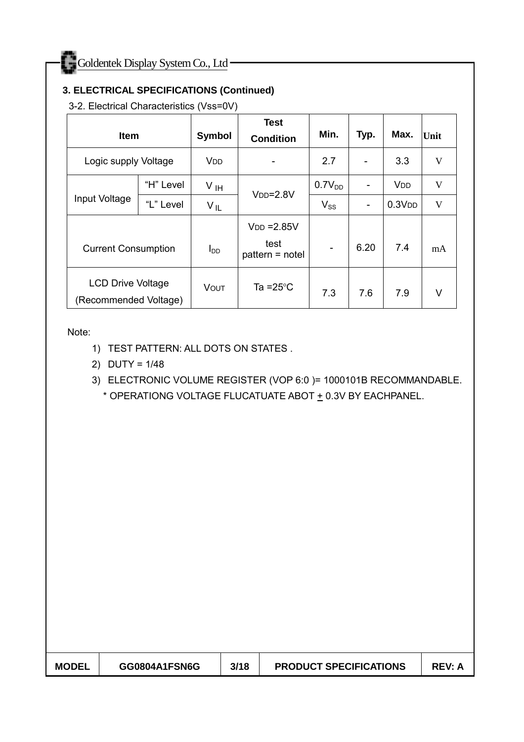## **3. ELECTRICAL SPECIFICATIONS (Continued)**

3-2. Electrical Characteristics (Vss=0V)

| <b>Item</b>                                       |           | <b>Symbol</b>         | <b>Test</b><br><b>Condition</b>          | Min.                         | Typ. | Max.                  | Unit |
|---------------------------------------------------|-----------|-----------------------|------------------------------------------|------------------------------|------|-----------------------|------|
| Logic supply Voltage                              |           | <b>V<sub>DD</sub></b> |                                          | 2.7                          |      | 3.3                   | V    |
|                                                   | "H" Level | V <sub>IH</sub>       | $VDD=2.8V$                               | 0.7V <sub>DD</sub>           |      | <b>V<sub>DD</sub></b> | V    |
| Input Voltage                                     | "L" Level | $V_{IL}$              |                                          | $V_{SS}$                     | -    | 0.3V <sub>DD</sub>    | V    |
| <b>Current Consumption</b>                        |           | $I_{DD}$              | $VDD = 2.85V$<br>test<br>pattern = notel | $\qquad \qquad \blacksquare$ | 6.20 | 7.4                   | mA   |
| <b>LCD Drive Voltage</b><br>(Recommended Voltage) |           | VOUT                  | Ta = $25^{\circ}$ C                      | 7.3                          | 7.6  | 7.9                   | V    |

Note:

- 1) TEST PATTERN: ALL DOTS ON STATES .
- 2) DUTY = 1/48

3) ELECTRONIC VOLUME REGISTER (VOP 6:0 )= 1000101B RECOMMANDABLE.

\* OPERATIONG VOLTAGE FLUCATUATE ABOT + 0.3V BY EACHPANEL.

|  | <b>MODEL</b> | GG0804A1FSN6G | 3/18 | <b>PRODUCT SPECIFICATIONS</b> | <b>REV: A</b> |
|--|--------------|---------------|------|-------------------------------|---------------|
|--|--------------|---------------|------|-------------------------------|---------------|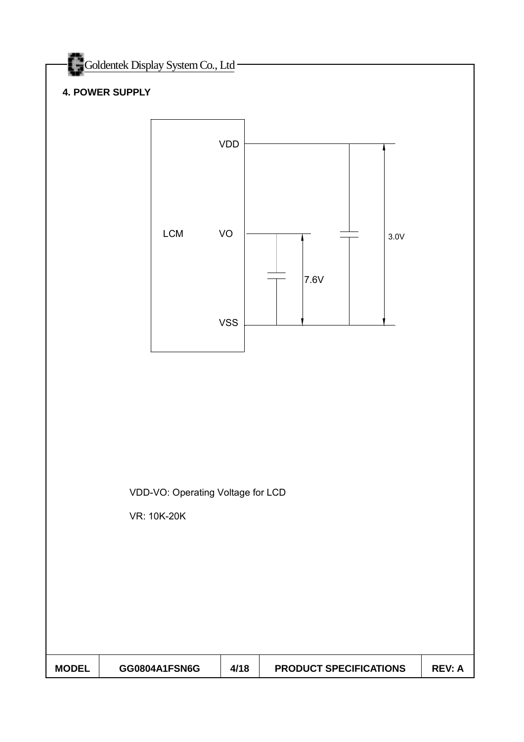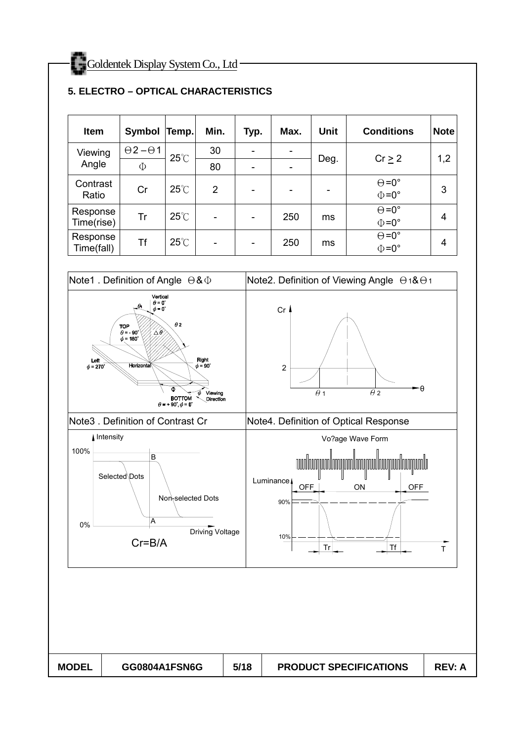| <b>Item</b>            | <b>Symbol</b>          | Temp.          | Min.                         | Typ.                     | Max.                         | <b>Unit</b> | <b>Conditions</b>                          | <b>Note</b> |
|------------------------|------------------------|----------------|------------------------------|--------------------------|------------------------------|-------------|--------------------------------------------|-------------|
| Viewing                | $\Theta$ 2- $\Theta$ 1 | $25^{\circ}$ C | 30                           | ۰                        | $\overline{\phantom{a}}$     |             | Cr > 2                                     |             |
| Angle                  | Φ                      |                | 80                           |                          | $\qquad \qquad \blacksquare$ | Deg.        |                                            | 1,2         |
| Contrast<br>Ratio      | Cr                     | $25^{\circ}$ C | $\overline{2}$               | $\overline{\phantom{0}}$ | $\overline{\phantom{0}}$     | -           | $\Theta = 0^{\circ}$<br>$\Phi = 0^{\circ}$ | 3           |
| Response<br>Time(rise) | Tr                     | $25^{\circ}$ C | $\qquad \qquad \blacksquare$ | ۰                        | 250                          | ms          | $\Theta = 0^{\circ}$<br>$\Phi = 0^{\circ}$ | 4           |
| Response<br>Time(fall) | <b>Tf</b>              | $25^{\circ}$ C | $\overline{\phantom{m}}$     | $\overline{\phantom{0}}$ | 250                          | ms          | $\Theta = 0^{\circ}$<br>$\Phi = 0^{\circ}$ | 4           |

#### **5. ELECTRO – OPTICAL CHARACTERISTICS**

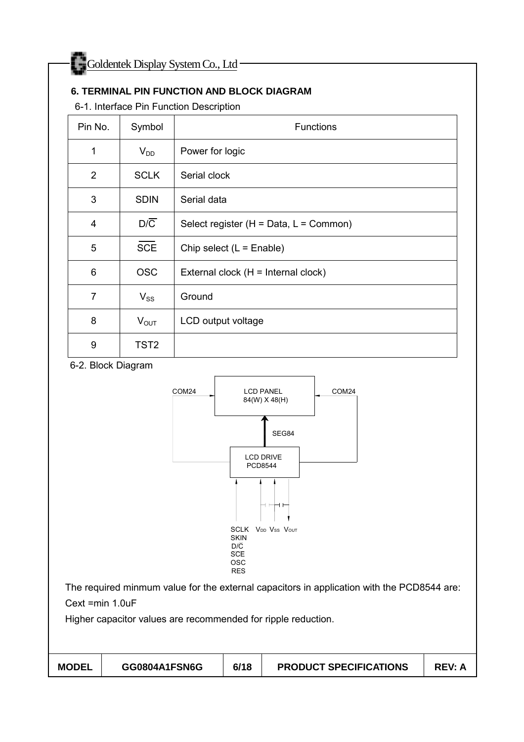## **6. TERMINAL PIN FUNCTION AND BLOCK DIAGRAM**

6-1. Interface Pin Function Description

| Pin No.        | Symbol           | <b>Functions</b>                         |
|----------------|------------------|------------------------------------------|
| 1              | $V_{DD}$         | Power for logic                          |
| $\overline{2}$ | <b>SCLK</b>      | Serial clock                             |
| 3              | <b>SDIN</b>      | Serial data                              |
| 4              | $D/\overline{C}$ | Select register $(H = Data, L = Common)$ |
| 5              | <b>SCE</b>       | Chip select $(L = E$ nable)              |
| 6              | <b>OSC</b>       | External clock (H = Internal clock)      |
| $\overline{7}$ | $V_{SS}$         | Ground                                   |
| 8              | $V_{OUT}$        | LCD output voltage                       |
| 9              | TST <sub>2</sub> |                                          |

#### 6-2. Block Diagram



The required minmum value for the external capacitors in application with the PCD8544 are:

Cext =min 1.0uF

Higher capacitor values are recommended for ripple reduction.

| <b>MODEL</b> | GG0804A1FSN6G | 6/18 | <b>PRODUCT SPECIFICATIONS</b> | <b>REV: A</b> |
|--------------|---------------|------|-------------------------------|---------------|
|--------------|---------------|------|-------------------------------|---------------|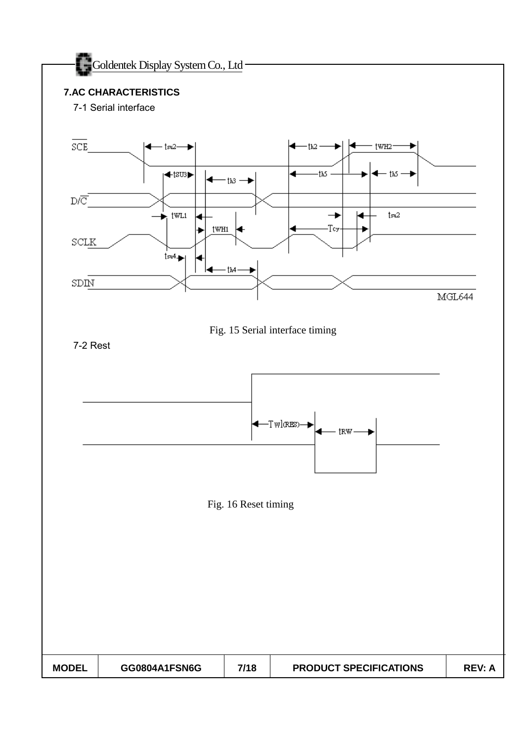

#### **7.AC CHARACTERISTICS**

7-1 Serial interface

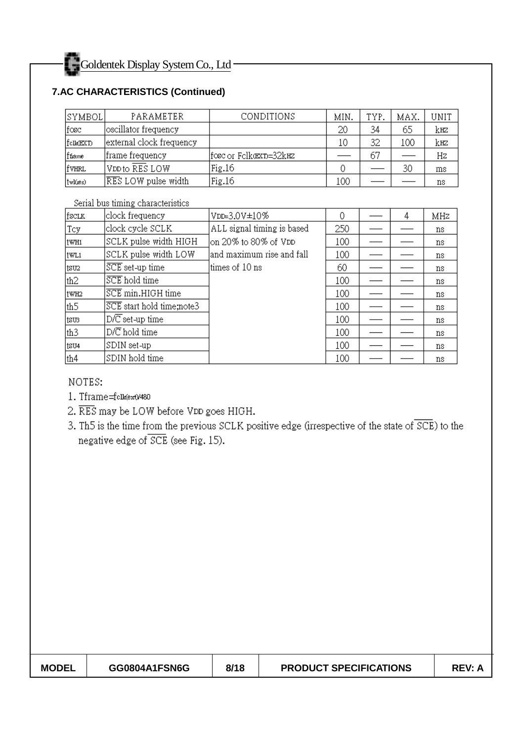## **7.AC CHARACTERISTICS (Continued)**

| SYMBOL      | PARAMETER                | CONDITIONS            | MIN. | TYP. | MAX. | UNIT |
|-------------|--------------------------|-----------------------|------|------|------|------|
| fosc        | oscillator frequency     |                       | 20   | 34   | 65   | kæ   |
| [felk(EXT)] | external clock frequency |                       | 10   | 32   | 100  | kæ   |
| ffiame      | frame frequency          | fosc or Fclkœxɒ=32k¤z |      | 67   |      | Hz   |
| lfvhrl      | VDD to RES LOW           | Fig.16                |      |      | 30   | ms   |
| (twl(xes)   | RES LOW pulse width      | Fig.16                | 100  |      |      | ns   |

Serial bus timing characteristics

| fsclk           | clock frequency              | VDD=3.0V±10%               | 0   | 4 | MHz |
|-----------------|------------------------------|----------------------------|-----|---|-----|
| Tcy             | clock cycle SCLK             | ALL signal timing is based | 250 |   | ns. |
| ltwh1           | SCLK pulse width HIGH        | on 20% to 80% of VDD       | 100 |   | ns  |
| twl1            | SCLK pulse width LOW         | and maximum rise and fall  | 100 |   | ns  |
| tsu2            | $\overline{SCE}$ set-up time | ltimes of 10 ns            | 60  |   | ns  |
| th2             | SCE hold time                |                            | 100 |   | ns. |
| ltwh2           | SCE min.HIGH time            |                            | 100 |   | ns. |
| th <sub>5</sub> | SCE start hold time;note3    |                            | 100 |   | ns  |
| ltsus.          | $D/\overline{C}$ set-up time |                            | 100 |   | ns. |
| th3             | $D/\overline{C}$ hold time   |                            | 100 |   | ns. |
| tsu4            | SDIN set-up                  |                            | 100 |   | ns  |
| th4             | SDIN hold time               |                            | 100 |   | ns  |

NOTES:

- 1. Tframe=fclk(ext)/480
- 2. RES may be LOW before VDD goes HIGH.
- 3. Th5 is the time from the previous SCLK positive edge (irrespective of the state of SCE) to the negative edge of SCE (see Fig. 15).

| <b>MODEL</b> | GG0804A1FSN6G | 8/18 | <b>PRODUCT SPECIFICATIONS</b> | <b>REV: A</b> |
|--------------|---------------|------|-------------------------------|---------------|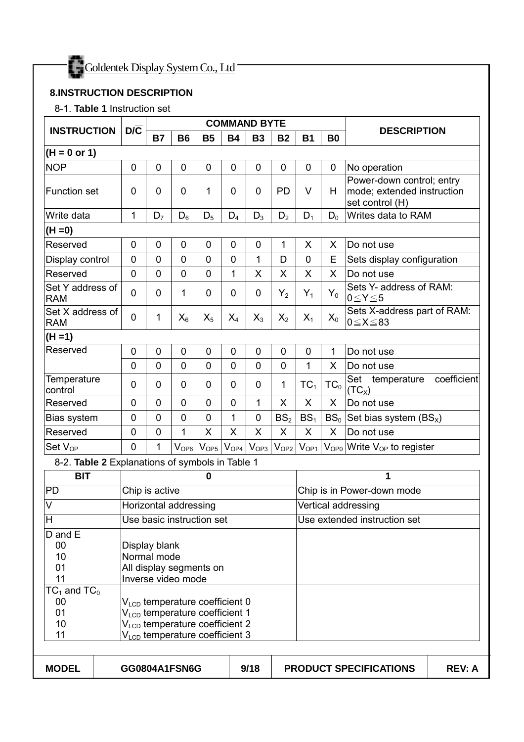

#### **8.INSTRUCTION DESCRIPTION**

8-1. **Table 1** Instruction set

|                                                                                                                                                                                                                                                                                                                                                       | $D/\overline{C}$ |                |                           |             |                  | <b>COMMAND BYTE</b> |                 |                 |           |                                                                            |  |
|-------------------------------------------------------------------------------------------------------------------------------------------------------------------------------------------------------------------------------------------------------------------------------------------------------------------------------------------------------|------------------|----------------|---------------------------|-------------|------------------|---------------------|-----------------|-----------------|-----------|----------------------------------------------------------------------------|--|
| <b>INSTRUCTION</b>                                                                                                                                                                                                                                                                                                                                    |                  | <b>B7</b>      | <b>B6</b>                 | <b>B5</b>   | <b>B4</b>        | <b>B3</b>           | <b>B2</b>       | <b>B1</b>       | <b>B0</b> | <b>DESCRIPTION</b>                                                         |  |
| $(H = 0 \text{ or } 1)$                                                                                                                                                                                                                                                                                                                               |                  |                |                           |             |                  |                     |                 |                 |           |                                                                            |  |
| <b>NOP</b>                                                                                                                                                                                                                                                                                                                                            | 0                | 0              | 0                         | 0           | $\mathbf 0$      | 0                   | 0               | 0               | 0         | No operation                                                               |  |
| <b>Function set</b>                                                                                                                                                                                                                                                                                                                                   | 0                | 0              | 0                         | 1           | $\mathbf 0$      | 0                   | PD              | V               | H         | Power-down control; entry<br>mode; extended instruction<br>set control (H) |  |
| Write data                                                                                                                                                                                                                                                                                                                                            | 1                | D <sub>7</sub> | $D_6$                     | $D_5$       | $D_4$            | $D_3$               | $D_2$           | $D_1$           | $D_0$     | Writes data to RAM                                                         |  |
| $(H = 0)$                                                                                                                                                                                                                                                                                                                                             |                  |                |                           |             |                  |                     |                 |                 |           |                                                                            |  |
| Reserved                                                                                                                                                                                                                                                                                                                                              | 0                | $\mathbf 0$    | $\mathbf 0$               | $\mathbf 0$ | $\mathbf 0$      | $\mathbf 0$         | 1               | X               | X         | Do not use                                                                 |  |
| Display control                                                                                                                                                                                                                                                                                                                                       | 0                | 0              | 0                         | 0           | $\mathbf 0$      | 1                   | D               | 0               | Ε         | Sets display configuration                                                 |  |
| Reserved                                                                                                                                                                                                                                                                                                                                              | $\overline{0}$   | $\mathbf 0$    | $\mathbf 0$               | 0           | 1                | X                   | X               | X               | X         | Do not use                                                                 |  |
| Set Y address of<br><b>RAM</b>                                                                                                                                                                                                                                                                                                                        | 0                | 0              | 1                         | 0           | $\boldsymbol{0}$ | 0                   | $Y_2$           | $Y_1$           | $Y_0$     | Sets Y- address of RAM:<br>$0 \le Y \le 5$                                 |  |
| Set X address of<br><b>RAM</b>                                                                                                                                                                                                                                                                                                                        | 0                | 1              | $X_6$                     | $X_5$       | $X_4$            | $X_3$               | $X_2$           | $X_1$           | $X_0$     | Sets X-address part of RAM:<br>$0 \le X \le 83$                            |  |
| $(H = 1)$                                                                                                                                                                                                                                                                                                                                             |                  |                |                           |             |                  |                     |                 |                 |           |                                                                            |  |
| Reserved                                                                                                                                                                                                                                                                                                                                              | $\mathbf 0$      | $\mathbf 0$    | $\mathbf 0$               | $\mathbf 0$ | $\mathbf 0$      | $\mathbf 0$         | $\mathbf 0$     | $\mathbf 0$     | 1         | Do not use                                                                 |  |
|                                                                                                                                                                                                                                                                                                                                                       | $\overline{0}$   | $\overline{0}$ | $\mathbf 0$               | 0           | $\mathbf 0$      | 0                   | $\mathbf 0$     | 1               | X         | Do not use                                                                 |  |
| Temperature<br>control                                                                                                                                                                                                                                                                                                                                | 0                | 0              | 0                         | 0           | $\mathbf 0$      | 0                   | 1               | $TC_1$          | $TC_0$    | coefficient<br>Set<br>temperature<br>$(TC_X)$                              |  |
| Reserved                                                                                                                                                                                                                                                                                                                                              | 0                | $\mathbf 0$    | 0                         | 0           | $\mathbf 0$      | 1                   | X               | X               | X         | Do not use                                                                 |  |
| Bias system                                                                                                                                                                                                                                                                                                                                           | 0                | 0              | 0                         | 0           | 1                | 0                   | BS <sub>2</sub> | BS <sub>1</sub> |           | $BS_0$ Set bias system (BS <sub>x</sub> )                                  |  |
| Reserved                                                                                                                                                                                                                                                                                                                                              | $\mathbf 0$      | 0              | 1                         | X           | X                | X                   | X               | X               | X         | Do not use                                                                 |  |
| Set $V_{OP}$                                                                                                                                                                                                                                                                                                                                          | $\overline{0}$   | 1              | $V_{OP6}$                 | $V_{OP5}$   | $V_{OP4}$        | $V_{OP3}$           | $V_{OP2}$       | $V_{OP1}$       |           | $V_{OP0}$ Write $V_{OP}$ to register                                       |  |
| 8-2. Table 2 Explanations of symbols in Table 1                                                                                                                                                                                                                                                                                                       |                  |                |                           |             |                  |                     |                 |                 |           |                                                                            |  |
| <b>BIT</b>                                                                                                                                                                                                                                                                                                                                            |                  |                |                           | $\bf{0}$    |                  |                     |                 |                 |           | 1                                                                          |  |
| <b>PD</b>                                                                                                                                                                                                                                                                                                                                             |                  | Chip is active |                           |             |                  |                     |                 |                 |           | Chip is in Power-down mode                                                 |  |
| $\overline{\mathsf{V}}$                                                                                                                                                                                                                                                                                                                               |                  |                | Horizontal addressing     |             |                  |                     |                 |                 |           | Vertical addressing                                                        |  |
| H                                                                                                                                                                                                                                                                                                                                                     |                  |                | Use basic instruction set |             |                  |                     |                 |                 |           | Use extended instruction set                                               |  |
| D and E<br>00<br>Display blank<br>10<br>Normal mode<br>01<br>All display segments on<br>11<br>Inverse video mode<br>$TC_1$ and $TC_0$<br>00<br>V <sub>LCD</sub> temperature coefficient 0<br>01<br>V <sub>LCD</sub> temperature coefficient 1<br>V <sub>LCD</sub> temperature coefficient 2<br>10<br>11<br>V <sub>LCD</sub> temperature coefficient 3 |                  |                |                           |             |                  |                     |                 |                 |           |                                                                            |  |
| <b>MODEL</b><br>GG0804A1FSN6G<br>9/18                                                                                                                                                                                                                                                                                                                 |                  |                |                           |             |                  |                     |                 |                 |           | <b>PRODUCT SPECIFICATIONS</b><br><b>REV: A</b>                             |  |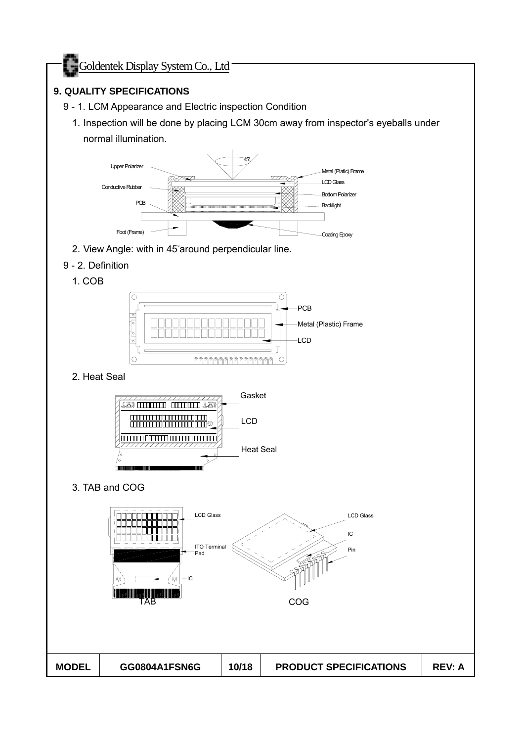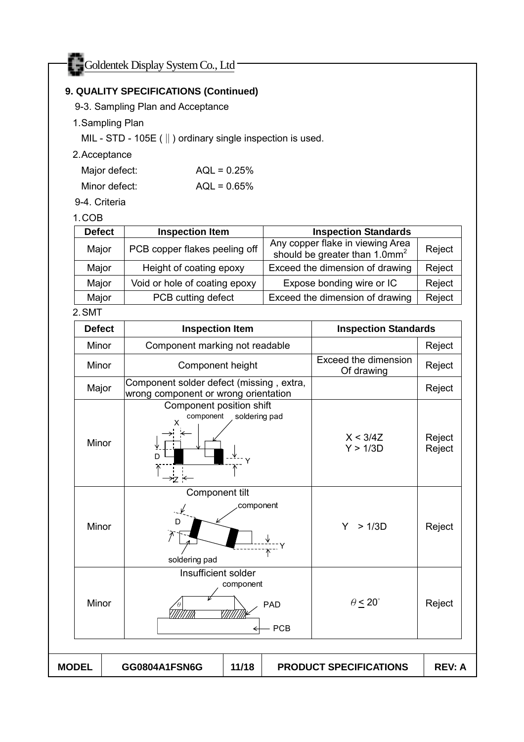## **9. QUALITY SPECIFICATIONS (Continued)**

9-3. Sampling Plan and Acceptance

## 1. Sampling Plan

MIL - STD - 105E (‖) ordinary single inspection is used.

#### 2. Acceptance

| Major defect: | $AQL = 0.25%$ |
|---------------|---------------|
| Minor defect: | $AQL = 0.65%$ |

#### 9-4. Criteria

#### 1. COB

| <b>Defect</b> | <b>Inspection Item</b>        | <b>Inspection Standards</b>                                                   |        |
|---------------|-------------------------------|-------------------------------------------------------------------------------|--------|
| Major         | PCB copper flakes peeling off | Any copper flake in viewing Area<br>should be greater than 1.0mm <sup>2</sup> | Reject |
| Major         | Height of coating epoxy       | Exceed the dimension of drawing                                               | Reject |
| Major         | Void or hole of coating epoxy | Expose bonding wire or IC                                                     | Reject |
| Major         | PCB cutting defect            | Exceed the dimension of drawing                                               | Reject |

#### 2. SMT

| <b>Defect</b> | <b>Inspection Item</b>                                                           |               |  | <b>Inspection Standards</b>               |                  |
|---------------|----------------------------------------------------------------------------------|---------------|--|-------------------------------------------|------------------|
| Minor         | Component marking not readable                                                   |               |  |                                           | Reject           |
| Minor         | Component height                                                                 |               |  | <b>Exceed the dimension</b><br>Of drawing | Reject           |
| Major         | Component solder defect (missing, extra,<br>wrong component or wrong orientation |               |  |                                           | Reject           |
| Minor         | Component position shift<br>component<br>x<br>D                                  | soldering pad |  | X < 3/4Z<br>Y > 1/3D                      | Reject<br>Reject |
| Minor         | Component tilt<br>component<br>D<br>soldering pad                                |               |  | >1/3D<br>Y.                               | Reject           |
| Minor         | Insufficient solder<br>component<br>PAD<br>1111<br><b>PCB</b>                    |               |  | $\theta \leq 20^{\circ}$                  | Reject           |
| <b>MODEL</b>  | GG0804A1FSN6G                                                                    | 11/18         |  | <b>PRODUCT SPECIFICATIONS</b>             | <b>REV: A</b>    |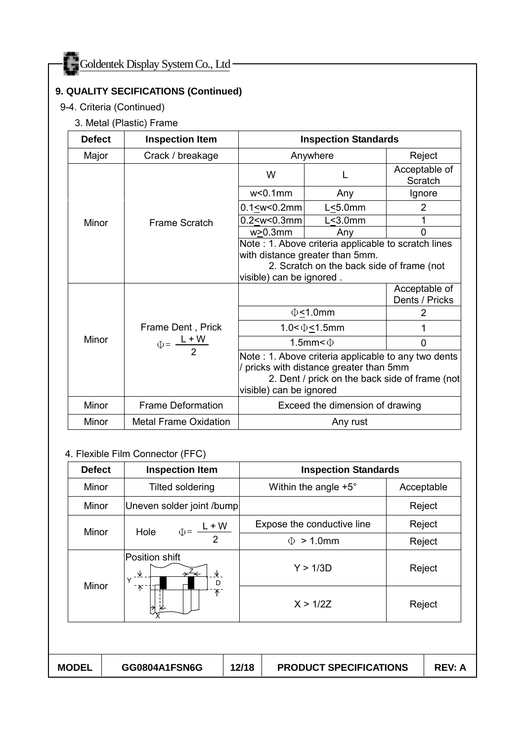## **9. QUALITY SECIFICATIONS (Continued)**

9-4. Criteria (Continued)

#### 3. Metal (Plastic) Frame

| <b>Defect</b> | <b>Inspection Item</b>       |                                                                                                                                                                             | <b>Inspection Standards</b>     |                                 |  |
|---------------|------------------------------|-----------------------------------------------------------------------------------------------------------------------------------------------------------------------------|---------------------------------|---------------------------------|--|
| Major         | Crack / breakage             |                                                                                                                                                                             | Anywhere                        | Reject                          |  |
|               |                              | W                                                                                                                                                                           |                                 | Acceptable of<br>Scratch        |  |
|               |                              | $w<0.1$ mm                                                                                                                                                                  | Any                             | Ignore                          |  |
|               |                              | $0.1 \leq w \leq 0.2$ mm                                                                                                                                                    | $L < 5.0$ mm                    | 2                               |  |
| Minor         | <b>Frame Scratch</b>         | $0.2 < w < 0.3$ mm                                                                                                                                                          | $L < 3.0$ mm                    |                                 |  |
|               |                              | $w > 0.3$ mm                                                                                                                                                                | Any                             | 0                               |  |
|               |                              | Note: 1. Above criteria applicable to scratch lines<br>with distance greater than 5mm.<br>2. Scratch on the back side of frame (not<br>visible) can be ignored.             |                                 |                                 |  |
|               |                              |                                                                                                                                                                             |                                 | Acceptable of<br>Dents / Pricks |  |
|               |                              | $\Phi$ <1.0mm                                                                                                                                                               |                                 | 2                               |  |
|               | Frame Dent, Prick            | $1.0 < \Phi \le 1.5$ mm                                                                                                                                                     |                                 |                                 |  |
| Minor         | $\Phi = \frac{L+W}{2}$       | 1.5mm $<$ $\Phi$                                                                                                                                                            |                                 | $\Omega$                        |  |
|               |                              | Note: 1. Above criteria applicable to any two dents<br>/ pricks with distance greater than 5mm<br>2. Dent / prick on the back side of frame (not<br>visible) can be ignored |                                 |                                 |  |
| Minor         | <b>Frame Deformation</b>     |                                                                                                                                                                             | Exceed the dimension of drawing |                                 |  |
| Minor         | <b>Metal Frame Oxidation</b> |                                                                                                                                                                             | Any rust                        |                                 |  |

#### 4. Flexible Film Connector (FFC)

|                                          |                                                          |                               | <b>Inspection Standards</b> |
|------------------------------------------|----------------------------------------------------------|-------------------------------|-----------------------------|
| Minor                                    | <b>Tilted soldering</b>                                  | Within the angle $+5^{\circ}$ | Acceptable                  |
| Minor                                    | Uneven solder joint /bump                                |                               | Reject                      |
|                                          | $\Phi = \frac{L+W}{2}$<br>Hole                           | Expose the conductive line    | Reject                      |
| Minor                                    |                                                          | $>1.0$ mm<br>$\Phi$           | Reject                      |
| ₩<br>$\checkmark$<br>Minor<br>$\uparrow$ | Position shift<br>$\rightarrow^{\angle} \leftarrow$<br>D | Y > 1/3D                      | Reject                      |
|                                          | 不                                                        | X > 1/2Z                      | Reject                      |

MODEL GG0804A1FSN6G | 12/18 | PRODUCT SPECIFICATIONS | REV: A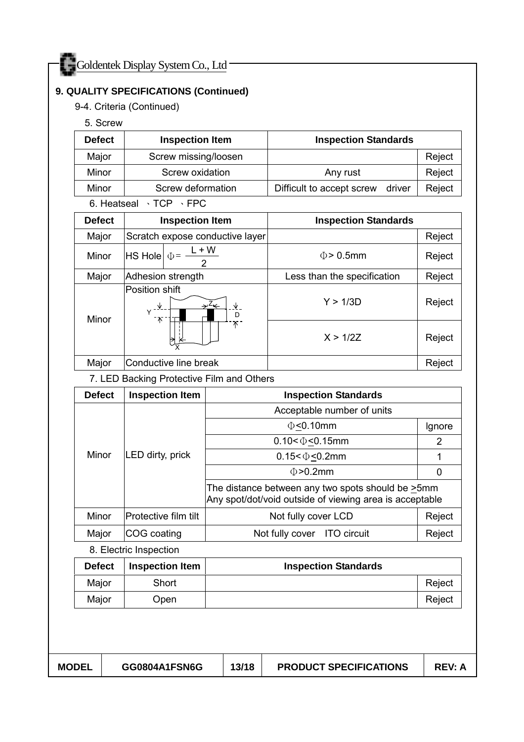### **9. QUALITY SPECIFICATIONS (Continued)**

9-4. Criteria (Continued)

5. Screw

| <b>Defect</b> | <b>Inspection Item</b> | <b>Inspection Standards</b>         |        |
|---------------|------------------------|-------------------------------------|--------|
| Major         | Screw missing/loosen   |                                     | Reject |
| Minor         | Screw oxidation        | Any rust                            | Reject |
| Minor         | Screw deformation      | Difficult to accept screw<br>driver | Reject |

6. Heatseal 、TCP 、FPC

| <b>Defect</b> | <b>Inspection Item</b>                             | <b>Inspection Standards</b> |        |
|---------------|----------------------------------------------------|-----------------------------|--------|
| Major         | Scratch expose conductive layer                    |                             | Reject |
| Minor         | $L + W$<br>$ $ HS Hole $  \Phi = -$                | $\Phi$ > 0.5mm              | Reject |
| Major         | Adhesion strength                                  | Less than the specification | Reject |
| Minor         | Position shift<br>∿<br>→∸←<br>∿<br>D<br>ั ∧ิ<br>Τ. | Y > 1/3D                    | Reject |
|               |                                                    | X > 1/27                    | Reject |
| Major         | Conductive line break                              |                             | Reject |

7. LED Backing Protective Film and Others

| <b>Defect</b> | <b>Inspection Item</b>      | <b>Inspection Standards</b>                                                                                         |        |  |  |  |
|---------------|-----------------------------|---------------------------------------------------------------------------------------------------------------------|--------|--|--|--|
| Minor         | LED dirty, prick            | Acceptable number of units                                                                                          |        |  |  |  |
|               |                             | $\Phi$ <0.10mm                                                                                                      | Ignore |  |  |  |
|               |                             | $0.10 < \Phi < 0.15$ mm                                                                                             | 2      |  |  |  |
|               |                             | $0.15 < \Phi < 0.2$ mm                                                                                              |        |  |  |  |
|               |                             | $\Phi > 0.2$ mm                                                                                                     | 0      |  |  |  |
|               |                             | The distance between any two spots should be $\geq 5$ mm<br>Any spot/dot/void outside of viewing area is acceptable |        |  |  |  |
| Minor         | <b>Protective film tilt</b> | Not fully cover LCD                                                                                                 | Reject |  |  |  |
| Major         | COG coating                 | Not fully cover ITO circuit                                                                                         | Reject |  |  |  |
|               | .                           |                                                                                                                     |        |  |  |  |

8. Electric Inspection

| <b>Defect</b> | <b>Inspection Item</b> | <b>Inspection Standards</b> |        |
|---------------|------------------------|-----------------------------|--------|
| Major         | Short                  |                             | Reject |
| Major         | Open                   |                             | Reject |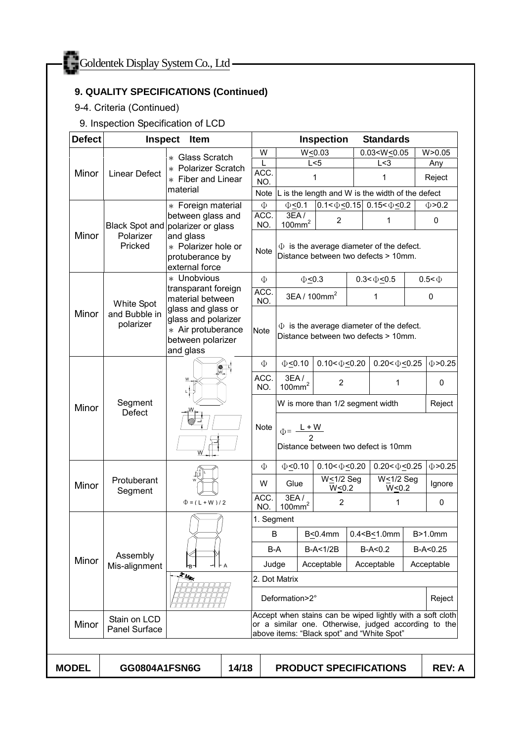# **9. QUALITY SPECIFICATIONS (Continued)**

# 9-4. Criteria (Continued)

9. Inspection Specification of LCD

| <b>Defect</b>      | <b>Inspect</b>                    | Item                                                                                              |                    |                                                                                                                                                                 |                                                                                       |                                                  | <b>Inspection</b>                |   | <b>Standards</b>                            |        |               |   |
|--------------------|-----------------------------------|---------------------------------------------------------------------------------------------------|--------------------|-----------------------------------------------------------------------------------------------------------------------------------------------------------------|---------------------------------------------------------------------------------------|--------------------------------------------------|----------------------------------|---|---------------------------------------------|--------|---------------|---|
|                    |                                   | * Glass Scratch                                                                                   |                    | W                                                                                                                                                               |                                                                                       |                                                  | W < 0.03                         |   | $0.03 < W \le 0.05$                         |        | W > 0.05      |   |
| Minor              | <b>Linear Defect</b>              | * Polarizer Scratch                                                                               |                    |                                                                                                                                                                 |                                                                                       |                                                  | L < 5                            |   | L < 3                                       |        | Any           |   |
|                    |                                   | * Fiber and Linear                                                                                |                    | ACC.<br>NO.                                                                                                                                                     |                                                                                       | 1                                                |                                  |   | 1                                           |        | Reject        |   |
|                    |                                   | material                                                                                          |                    | Note                                                                                                                                                            |                                                                                       | L is the length and W is the width of the defect |                                  |   |                                             |        |               |   |
|                    |                                   | * Foreign material<br>between glass and                                                           |                    | $\Phi$<br>ACC.                                                                                                                                                  | $\Phi$ <0.1                                                                           |                                                  |                                  |   | $0.1 < \Phi \le 0.15$ 0.15 < $\Phi \le 0.2$ |        | $\Phi > 0.2$  |   |
|                    | Black Spot and polarizer or glass |                                                                                                   |                    | NO.                                                                                                                                                             | 3EA/100mm <sup>2</sup>                                                                |                                                  | $\overline{2}$                   |   | 1                                           |        | 0             |   |
| Minor              | Polarizer<br>Pricked              | and glass<br>* Polarizer hole or<br>protuberance by<br>external force                             |                    | Note                                                                                                                                                            | $\Phi$ is the average diameter of the defect.<br>Distance between two defects > 10mm. |                                                  |                                  |   |                                             |        |               |   |
|                    |                                   | * Unobvious                                                                                       |                    | $\Phi$                                                                                                                                                          |                                                                                       | $\Phi \leq 0.3$                                  |                                  |   | $0.3 < \Phi < 0.5$                          |        | $0.5 < \Phi$  |   |
|                    | White Spot                        | transparant foreign<br>material between                                                           |                    | ACC.<br>NO.                                                                                                                                                     |                                                                                       |                                                  | 3EA / 100mm <sup>2</sup>         |   | 1                                           |        | 0             |   |
| Minor<br>polarizer | and Bubble in                     | glass and glass or<br>glass and polarizer<br>* Air protuberance<br>between polarizer<br>and glass |                    | Note                                                                                                                                                            | $\Phi$ is the average diameter of the defect.<br>Distance between two defects > 10mm. |                                                  |                                  |   |                                             |        |               |   |
|                    | Segment<br><b>Defect</b>          |                                                                                                   |                    | Φ                                                                                                                                                               | $\Phi$ <0.10                                                                          |                                                  | $0.10 < \Phi < 0.20$             |   | $0.20 < \Phi < 0.25$                        |        | $\Phi > 0.25$ |   |
|                    |                                   |                                                                                                   |                    | ACC.<br>NO.                                                                                                                                                     | 3EA/100mm <sup>2</sup>                                                                |                                                  | $\overline{2}$                   |   | 1                                           |        | 0             |   |
| Minor              |                                   |                                                                                                   |                    |                                                                                                                                                                 |                                                                                       |                                                  | W is more than 1/2 segment width |   |                                             |        | Reject        |   |
|                    |                                   |                                                                                                   |                    | Note                                                                                                                                                            | $\Phi = \frac{L+W}{2}$<br>Distance between two defect is 10mm                         |                                                  |                                  |   |                                             |        |               |   |
|                    | Protuberant<br>Segment            |                                                                                                   |                    | Φ                                                                                                                                                               | $\Phi \leq 0.10$                                                                      |                                                  | $0.10 < \Phi \le 0.20$           |   | $0.20 < \Phi \leq 0.25$                     |        | $\Phi > 0.25$ |   |
| Minor              |                                   |                                                                                                   |                    | W                                                                                                                                                               | Glue                                                                                  |                                                  | W<1/2 Seg<br>$W \le 0.2$         |   | $W \leq 1/2$ Seg<br>$W \le 0.2$             |        | Ignore        |   |
|                    |                                   |                                                                                                   | $\Phi = (L + W)/2$ |                                                                                                                                                                 | ACC.<br>NO.                                                                           | 3EA/<br>100mm <sup>2</sup>                       |                                  | 2 |                                             | 1      |               | 0 |
|                    | Assembly<br>Mis-alignment         |                                                                                                   |                    |                                                                                                                                                                 | 1. Segment                                                                            |                                                  |                                  |   |                                             |        |               |   |
|                    |                                   |                                                                                                   |                    | B                                                                                                                                                               |                                                                                       |                                                  | B<0.4mm                          |   | $0.4 < B \le 1.0$ mm                        |        | B>1.0mm       |   |
|                    |                                   |                                                                                                   |                    | B-A                                                                                                                                                             |                                                                                       |                                                  | $B-A<1/2B$                       |   | $B-A < 0.2$                                 |        | $B-A < 0.25$  |   |
| Minor              |                                   | +⊢⊣∧<br>۳B۰<br>K.Mar                                                                              |                    |                                                                                                                                                                 | Judge<br>Acceptable<br>Acceptable<br>Acceptable                                       |                                                  |                                  |   |                                             |        |               |   |
|                    |                                   |                                                                                                   |                    |                                                                                                                                                                 | 2. Dot Matrix                                                                         |                                                  |                                  |   |                                             |        |               |   |
|                    |                                   |                                                                                                   |                    | Deformation>2°                                                                                                                                                  |                                                                                       |                                                  |                                  |   |                                             | Reject |               |   |
| Minor              | Stain on LCD<br>Panel Surface     |                                                                                                   |                    | Accept when stains can be wiped lightly with a soft cloth<br>or a similar one. Otherwise, judged according to the<br>above items: "Black spot" and "White Spot" |                                                                                       |                                                  |                                  |   |                                             |        |               |   |
|                    |                                   |                                                                                                   |                    |                                                                                                                                                                 |                                                                                       |                                                  |                                  |   |                                             |        |               |   |
| <b>MODEL</b>       | GG0804A1FSN6G                     |                                                                                                   | 14/18              |                                                                                                                                                                 |                                                                                       |                                                  |                                  |   | <b>PRODUCT SPECIFICATIONS</b>               |        | <b>REV: A</b> |   |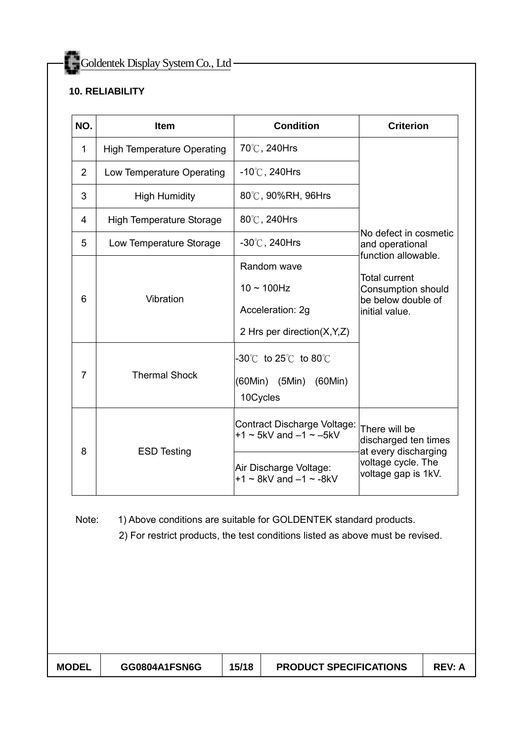## **10. RELIABILITY**

| NO.                 | <b>Item</b>                       | <b>Condition</b>                                                                                                                                    | <b>Criterion</b>                                                                                          |  |  |
|---------------------|-----------------------------------|-----------------------------------------------------------------------------------------------------------------------------------------------------|-----------------------------------------------------------------------------------------------------------|--|--|
| $\mathbf{1}$        | <b>High Temperature Operating</b> | 70℃, 240Hrs                                                                                                                                         |                                                                                                           |  |  |
| $\overline{2}$      | Low Temperature Operating         | $-10^{\circ}$ C, 240Hrs                                                                                                                             | No defect in cosmetic<br>and operational                                                                  |  |  |
| 3                   | <b>High Humidity</b>              | 80℃, 90%RH, 96Hrs                                                                                                                                   |                                                                                                           |  |  |
| 4                   | <b>High Temperature Storage</b>   | 80℃, 240Hrs                                                                                                                                         |                                                                                                           |  |  |
| 5                   | Low Temperature Storage           | $-30^{\circ}$ C, 240Hrs                                                                                                                             |                                                                                                           |  |  |
| 6<br>$\overline{7}$ | Vibration<br><b>Thermal Shock</b> | Random wave<br>$10 \sim 100$ Hz<br>Acceleration: 2g<br>2 Hrs per direction(X,Y,Z)<br>$-30^{\circ}$ to 25 $^{\circ}$ to 80 $^{\circ}$ C              | function allowable.<br><b>Total current</b><br>Consumption should<br>be below double of<br>initial value. |  |  |
|                     |                                   | (60Min) (5Min) (60Min)<br>10Cycles                                                                                                                  |                                                                                                           |  |  |
| 8                   | <b>ESD Testing</b>                | Contract Discharge Voltage:<br>$+1 \sim 5$ kV and $-1 \sim -5$ kV                                                                                   | There will be<br>discharged ten times<br>at every discharging                                             |  |  |
|                     |                                   | Air Discharge Voltage:<br>$+1 \sim 8$ kV and $-1 \sim -8$ kV                                                                                        | voltage cycle. The<br>voltage gap is 1kV.                                                                 |  |  |
| Note:               |                                   | 1) Above conditions are suitable for GOLDENTEK standard products.<br>2) For restrict products, the test conditions listed as above must be revised. |                                                                                                           |  |  |

| <b>MODEL</b> | GG0804A1FSN6G | 15/18 | <b>PRODUCT SPECIFICATIONS</b> | <b>REV: A</b> |
|--------------|---------------|-------|-------------------------------|---------------|
|--------------|---------------|-------|-------------------------------|---------------|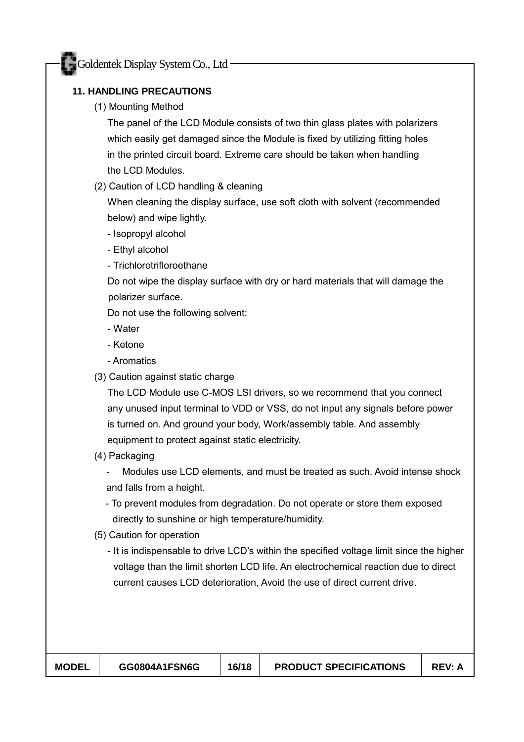## **11. HANDLING PRECAUTIONS**

(1) Mounting Method

The panel of the LCD Module consists of two thin glass plates with polarizers which easily get damaged since the Module is fixed by utilizing fitting holes in the printed circuit board. Extreme care should be taken when handling the LCD Modules.

(2) Caution of LCD handling & cleaning

When cleaning the display surface, use soft cloth with solvent (recommended below) and wipe lightly.

- Isopropyl alcohol
- Ethyl alcohol
- Trichlorotrifloroethane

Do not wipe the display surface with dry or hard materials that will damage the polarizer surface.

Do not use the following solvent:

- Water
- Ketone
- Aromatics
- (3) Caution against static charge

The LCD Module use C-MOS LSI drivers, so we recommend that you connect any unused input terminal to VDD or VSS, do not input any signals before power is turned on. And ground your body, Work/assembly table. And assembly equipment to protect against static electricity.

(4) Packaging

- Modules use LCD elements, and must be treated as such. Avoid intense shock and falls from a height.

- To prevent modules from degradation. Do not operate or store them exposed directly to sunshine or high temperature/humidity.
- (5) Caution for operation
	- It is indispensable to drive LCD's within the specified voltage limit since the higher voltage than the limit shorten LCD life. An electrochemical reaction due to direct current causes LCD deterioration, Avoid the use of direct current drive.

| <b>MODEL</b> | GG0804A1FSN6G | 16/18 | <b>PRODUCT SPECIFICATIONS</b> | <b>REV: A</b> |
|--------------|---------------|-------|-------------------------------|---------------|
|              |               |       |                               |               |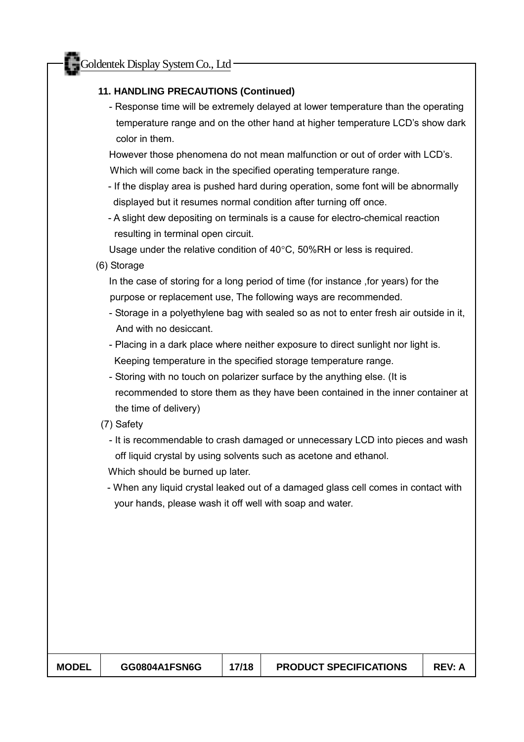#### **11. HANDLING PRECAUTIONS (Continued)**

- Response time will be extremely delayed at lower temperature than the operating temperature range and on the other hand at higher temperature LCD's show dark color in them.

However those phenomena do not mean malfunction or out of order with LCD's. Which will come back in the specified operating temperature range.

- If the display area is pushed hard during operation, some font will be abnormally displayed but it resumes normal condition after turning off once.
- A slight dew depositing on terminals is a cause for electro-chemical reaction resulting in terminal open circuit.

Usage under the relative condition of 40°C, 50%RH or less is required.

(6) Storage

In the case of storing for a long period of time (for instance ,for years) for the purpose or replacement use, The following ways are recommended.

- Storage in a polyethylene bag with sealed so as not to enter fresh air outside in it, And with no desiccant.
- Placing in a dark place where neither exposure to direct sunlight nor light is. Keeping temperature in the specified storage temperature range.
- Storing with no touch on polarizer surface by the anything else. (It is recommended to store them as they have been contained in the inner container at the time of delivery)
- (7) Safety
	- It is recommendable to crash damaged or unnecessary LCD into pieces and wash off liquid crystal by using solvents such as acetone and ethanol.
	- Which should be burned up later.
	- When any liquid crystal leaked out of a damaged glass cell comes in contact with your hands, please wash it off well with soap and water.

| <b>MODEL</b> | GG0804A1FSN6G | 17/18 | <b>PRODUCT SPECIFICATIONS</b> | <b>REV: A</b> |
|--------------|---------------|-------|-------------------------------|---------------|